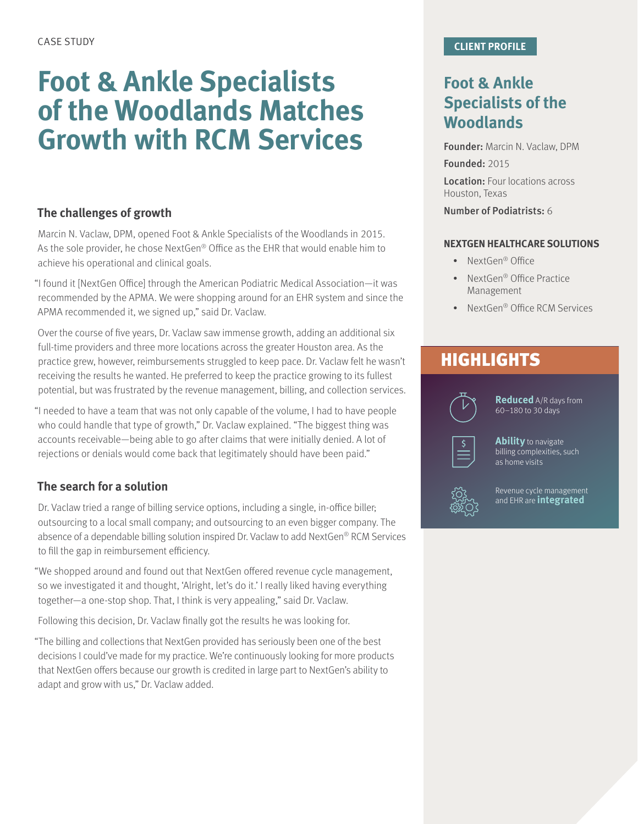# **Foot & Ankle Specialists of the Woodlands Matches Growth with RCM Services**

#### **The challenges of growth**

Marcin N. Vaclaw, DPM, opened Foot & Ankle Specialists of the Woodlands in 2015. As the sole provider, he chose NextGen® Office as the EHR that would enable him to achieve his operational and clinical goals.

"I found it [NextGen Office] through the American Podiatric Medical Association—it was recommended by the APMA. We were shopping around for an EHR system and since the APMA recommended it, we signed up," said Dr. Vaclaw.

Over the course of five years, Dr. Vaclaw saw immense growth, adding an additional six full-time providers and three more locations across the greater Houston area. As the practice grew, however, reimbursements struggled to keep pace. Dr. Vaclaw felt he wasn't receiving the results he wanted. He preferred to keep the practice growing to its fullest potential, but was frustrated by the revenue management, billing, and collection services.

"I needed to have a team that was not only capable of the volume, I had to have people who could handle that type of growth," Dr. Vaclaw explained. "The biggest thing was accounts receivable—being able to go after claims that were initially denied. A lot of rejections or denials would come back that legitimately should have been paid."

#### **The search for a solution**

Dr. Vaclaw tried a range of billing service options, including a single, in-office biller; outsourcing to a local small company; and outsourcing to an even bigger company. The absence of a dependable billing solution inspired Dr. Vaclaw to add NextGen® RCM Services to fill the gap in reimbursement efficiency.

"We shopped around and found out that NextGen offered revenue cycle management, so we investigated it and thought, 'Alright, let's do it.' I really liked having everything together—a one-stop shop. That, I think is very appealing," said Dr. Vaclaw.

Following this decision, Dr. Vaclaw finally got the results he was looking for.

"The billing and collections that NextGen provided has seriously been one of the best decisions I could've made for my practice. We're continuously looking for more products that NextGen offers because our growth is credited in large part to NextGen's ability to adapt and grow with us," Dr. Vaclaw added.

### **Foot & Ankle Specialists of the Woodlands**

Founder: Marcin N. Vaclaw, DPM

Founded: 2015

Location: Four locations across Houston, Texas

Number of Podiatrists: 6

#### **NEXTGEN HEALTHCARE SOLUTIONS**

- NextGen<sup>®</sup> Office
- NextGen<sup>®</sup> Office Practice Management
- NextGen<sup>®</sup> Office RCM Services

## **HIGHLIGHTS**



**Reduced** A/R days from 60–180 to 30 days



**Ability** to navigate billing complexities, such as home visits



Revenue cycle management and EHR are **integrated**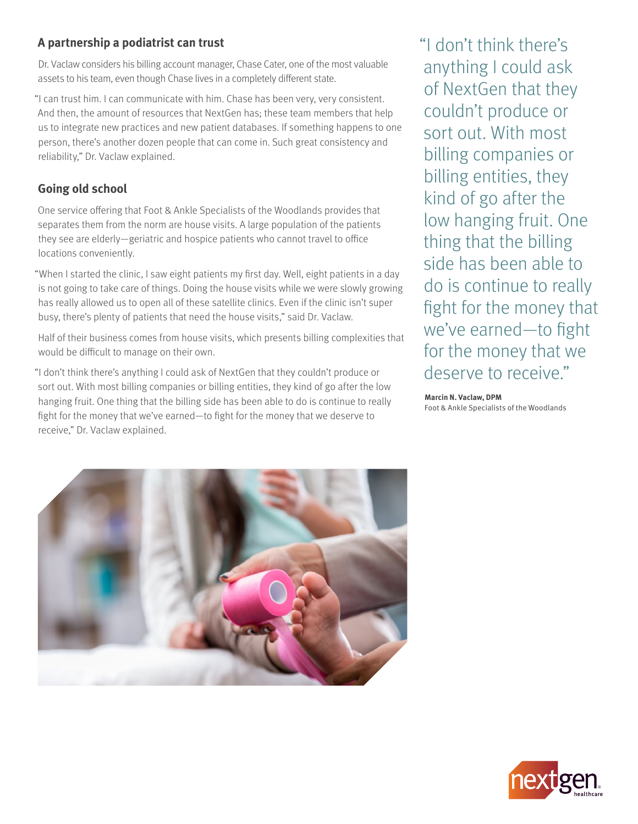#### **A partnership a podiatrist can trust**

Dr. Vaclaw considers his billing account manager, Chase Cater, one of the most valuable assets to his team, even though Chase lives in a completely different state.

"I can trust him. I can communicate with him. Chase has been very, very consistent. And then, the amount of resources that NextGen has; these team members that help us to integrate new practices and new patient databases. If something happens to one person, there's another dozen people that can come in. Such great consistency and reliability," Dr. Vaclaw explained.

### **Going old school**

One service offering that Foot & Ankle Specialists of the Woodlands provides that separates them from the norm are house visits. A large population of the patients they see are elderly—geriatric and hospice patients who cannot travel to office locations conveniently.

"When I started the clinic, I saw eight patients my first day. Well, eight patients in a day is not going to take care of things. Doing the house visits while we were slowly growing has really allowed us to open all of these satellite clinics. Even if the clinic isn't super busy, there's plenty of patients that need the house visits," said Dr. Vaclaw.

Half of their business comes from house visits, which presents billing complexities that would be difficult to manage on their own.

"I don't think there's anything I could ask of NextGen that they couldn't produce or sort out. With most billing companies or billing entities, they kind of go after the low hanging fruit. One thing that the billing side has been able to do is continue to really fight for the money that we've earned—to fight for the money that we deserve to receive," Dr. Vaclaw explained.

"I don't think there's anything I could ask of NextGen that they couldn't produce or sort out. With most billing companies or billing entities, they kind of go after the low hanging fruit. One thing that the billing side has been able to do is continue to really fight for the money that we've earned—to fight for the money that we deserve to receive."

#### **Marcin N. Vaclaw, DPM**

Foot & Ankle Specialists of the Woodlands